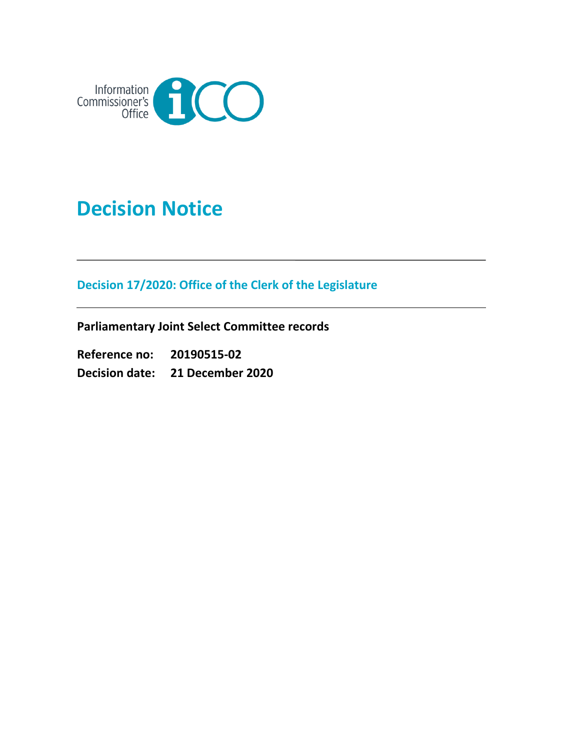

# **Decision Notice**

**Decision 17/2020: Office of the Clerk of the Legislature**

**Parliamentary Joint Select Committee records**

**Reference no: 20190515-02 Decision date: 21 December 2020**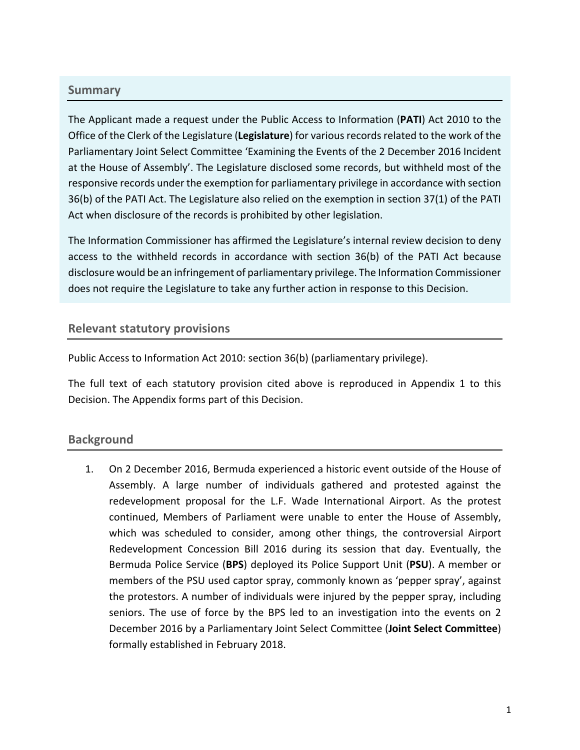#### **Summary**

The Applicant made a request under the Public Access to Information (**PATI**) Act 2010 to the Office of the Clerk of the Legislature (**Legislature**) for various records related to the work of the Parliamentary Joint Select Committee 'Examining the Events of the 2 December 2016 Incident at the House of Assembly'. The Legislature disclosed some records, but withheld most of the responsive records under the exemption for parliamentary privilege in accordance with section 36(b) of the PATI Act. The Legislature also relied on the exemption in section 37(1) of the PATI Act when disclosure of the records is prohibited by other legislation.

The Information Commissioner has affirmed the Legislature's internal review decision to deny access to the withheld records in accordance with section 36(b) of the PATI Act because disclosure would be an infringement of parliamentary privilege. The Information Commissioner does not require the Legislature to take any further action in response to this Decision.

#### **Relevant statutory provisions**

Public Access to Information Act 2010: section 36(b) (parliamentary privilege).

The full text of each statutory provision cited above is reproduced in Appendix 1 to this Decision. The Appendix forms part of this Decision.

# **Background**

1. On 2 December 2016, Bermuda experienced a historic event outside of the House of Assembly. A large number of individuals gathered and protested against the redevelopment proposal for the L.F. Wade International Airport. As the protest continued, Members of Parliament were unable to enter the House of Assembly, which was scheduled to consider, among other things, the controversial Airport Redevelopment Concession Bill 2016 during its session that day. Eventually, the Bermuda Police Service (**BPS**) deployed its Police Support Unit (**PSU**). A member or members of the PSU used captor spray, commonly known as 'pepper spray', against the protestors. A number of individuals were injured by the pepper spray, including seniors. The use of force by the BPS led to an investigation into the events on 2 December 2016 by a Parliamentary Joint Select Committee (**Joint Select Committee**) formally established in February 2018.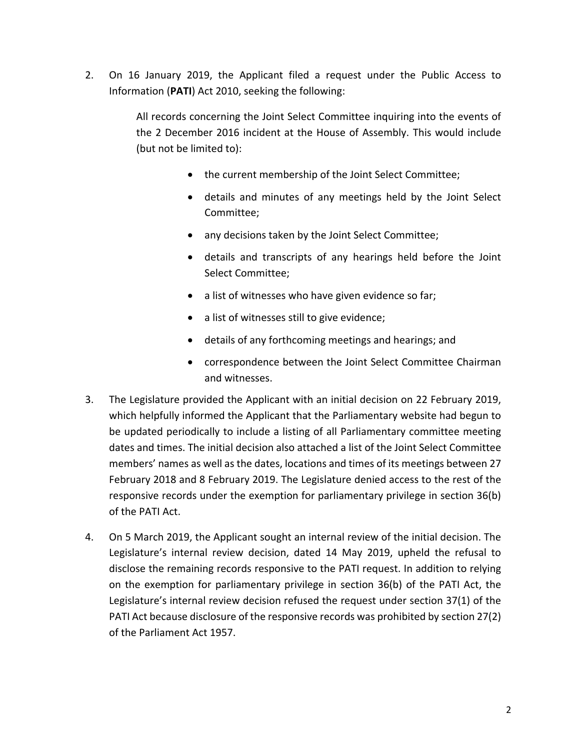2. On 16 January 2019, the Applicant filed a request under the Public Access to Information (**PATI**) Act 2010, seeking the following:

> All records concerning the Joint Select Committee inquiring into the events of the 2 December 2016 incident at the House of Assembly. This would include (but not be limited to):

- the current membership of the Joint Select Committee;
- details and minutes of any meetings held by the Joint Select Committee;
- any decisions taken by the Joint Select Committee;
- details and transcripts of any hearings held before the Joint Select Committee;
- a list of witnesses who have given evidence so far;
- a list of witnesses still to give evidence;
- details of any forthcoming meetings and hearings; and
- correspondence between the Joint Select Committee Chairman and witnesses.
- 3. The Legislature provided the Applicant with an initial decision on 22 February 2019, which helpfully informed the Applicant that the Parliamentary website had begun to be updated periodically to include a listing of all Parliamentary committee meeting dates and times. The initial decision also attached a list of the Joint Select Committee members' names as well as the dates, locations and times of its meetings between 27 February 2018 and 8 February 2019. The Legislature denied access to the rest of the responsive records under the exemption for parliamentary privilege in section 36(b) of the PATI Act.
- 4. On 5 March 2019, the Applicant sought an internal review of the initial decision. The Legislature's internal review decision, dated 14 May 2019, upheld the refusal to disclose the remaining records responsive to the PATI request. In addition to relying on the exemption for parliamentary privilege in section 36(b) of the PATI Act, the Legislature's internal review decision refused the request under section 37(1) of the PATI Act because disclosure of the responsive records was prohibited by section 27(2) of the Parliament Act 1957.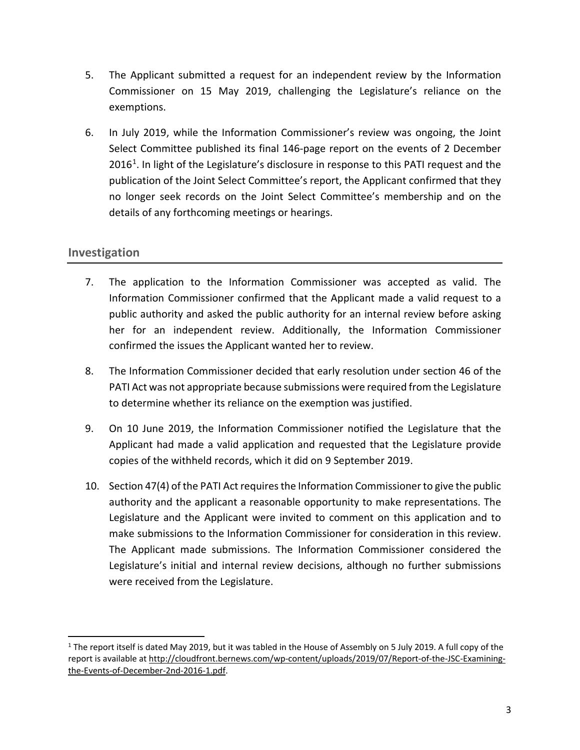- 5. The Applicant submitted a request for an independent review by the Information Commissioner on 15 May 2019, challenging the Legislature's reliance on the exemptions.
- 6. In July 2019, while the Information Commissioner's review was ongoing, the Joint Select Committee published its final 146-page report on the events of 2 December  $2016<sup>1</sup>$  $2016<sup>1</sup>$  $2016<sup>1</sup>$ . In light of the Legislature's disclosure in response to this PATI request and the publication of the Joint Select Committee's report, the Applicant confirmed that they no longer seek records on the Joint Select Committee's membership and on the details of any forthcoming meetings or hearings.

# **Investigation**

- 7. The application to the Information Commissioner was accepted as valid. The Information Commissioner confirmed that the Applicant made a valid request to a public authority and asked the public authority for an internal review before asking her for an independent review. Additionally, the Information Commissioner confirmed the issues the Applicant wanted her to review.
- 8. The Information Commissioner decided that early resolution under section 46 of the PATI Act was not appropriate because submissions were required from the Legislature to determine whether its reliance on the exemption was justified.
- 9. On 10 June 2019, the Information Commissioner notified the Legislature that the Applicant had made a valid application and requested that the Legislature provide copies of the withheld records, which it did on 9 September 2019.
- 10. Section 47(4) of the PATI Act requires the Information Commissioner to give the public authority and the applicant a reasonable opportunity to make representations. The Legislature and the Applicant were invited to comment on this application and to make submissions to the Information Commissioner for consideration in this review. The Applicant made submissions. The Information Commissioner considered the Legislature's initial and internal review decisions, although no further submissions were received from the Legislature.

<span id="page-3-0"></span> $1$  The report itself is dated May 2019, but it was tabled in the House of Assembly on 5 July 2019. A full copy of the report is available at [http://cloudfront.bernews.com/wp-content/uploads/2019/07/Report-of-the-JSC-Examining](http://cloudfront.bernews.com/wp-content/uploads/2019/07/Report-of-the-JSC-Examining-the-Events-of-December-2nd-2016-1.pdf)[the-Events-of-December-2nd-2016-1.pdf.](http://cloudfront.bernews.com/wp-content/uploads/2019/07/Report-of-the-JSC-Examining-the-Events-of-December-2nd-2016-1.pdf)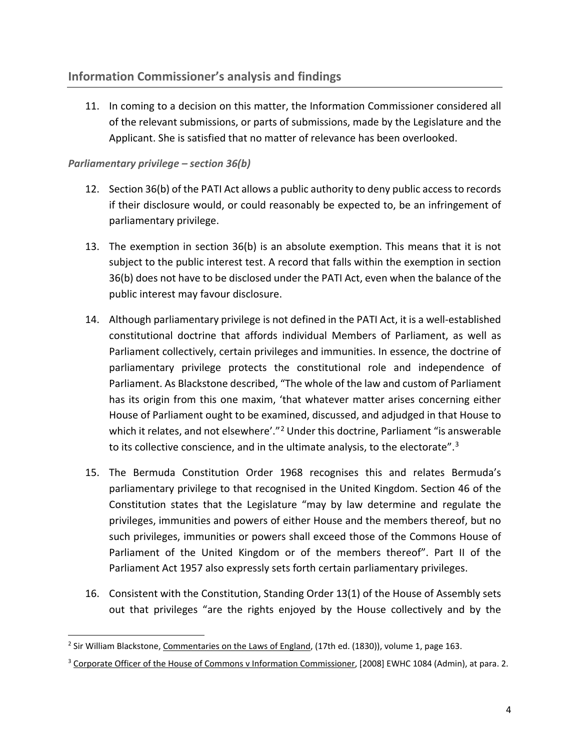11. In coming to a decision on this matter, the Information Commissioner considered all of the relevant submissions, or parts of submissions, made by the Legislature and the Applicant. She is satisfied that no matter of relevance has been overlooked.

#### *Parliamentary privilege – section 36(b)*

- 12. Section 36(b) of the PATI Act allows a public authority to deny public access to records if their disclosure would, or could reasonably be expected to, be an infringement of parliamentary privilege.
- 13. The exemption in section 36(b) is an absolute exemption. This means that it is not subject to the public interest test. A record that falls within the exemption in section 36(b) does not have to be disclosed under the PATI Act, even when the balance of the public interest may favour disclosure.
- 14. Although parliamentary privilege is not defined in the PATI Act, it is a well-established constitutional doctrine that affords individual Members of Parliament, as well as Parliament collectively, certain privileges and immunities. In essence, the doctrine of parliamentary privilege protects the constitutional role and independence of Parliament. As Blackstone described, "The whole of the law and custom of Parliament has its origin from this one maxim, 'that whatever matter arises concerning either House of Parliament ought to be examined, discussed, and adjudged in that House to which it relates, and not elsewhere'."<sup>[2](#page-4-0)</sup> Under this doctrine, Parliament "is answerable to its collective conscience, and in the ultimate analysis, to the electorate".<sup>[3](#page-4-1)</sup>
- 15. The Bermuda Constitution Order 1968 recognises this and relates Bermuda's parliamentary privilege to that recognised in the United Kingdom. Section 46 of the Constitution states that the Legislature "may by law determine and regulate the privileges, immunities and powers of either House and the members thereof, but no such privileges, immunities or powers shall exceed those of the Commons House of Parliament of the United Kingdom or of the members thereof". Part II of the Parliament Act 1957 also expressly sets forth certain parliamentary privileges.
- 16. Consistent with the Constitution, Standing Order 13(1) of the House of Assembly sets out that privileges "are the rights enjoyed by the House collectively and by the

<span id="page-4-0"></span><sup>&</sup>lt;sup>2</sup> Sir William Blackstone, Commentaries on the Laws of England, (17th ed. (1830)), volume 1, page 163.

<span id="page-4-1"></span><sup>&</sup>lt;sup>3</sup> Corporate Officer of the House of Commons v Information Commissioner, [2008] EWHC 1084 (Admin), at para. 2.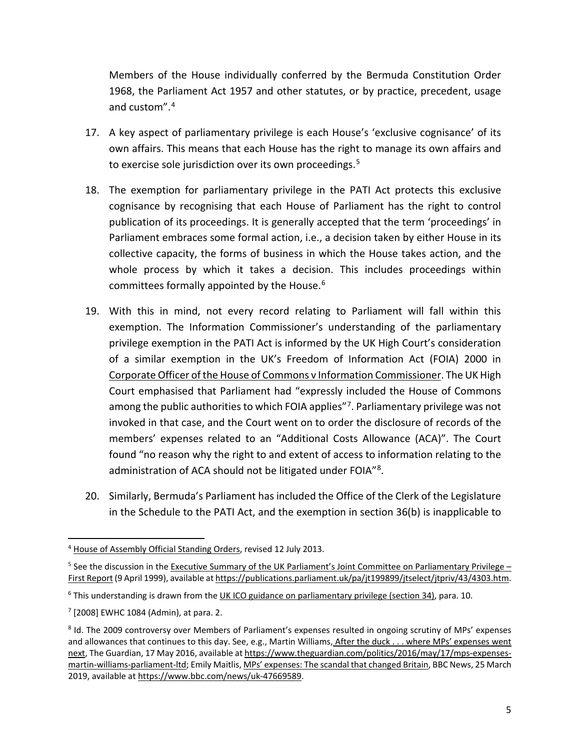Members of the House individually conferred by the Bermuda Constitution Order 1968, the Parliament Act 1957 and other statutes, or by practice, precedent, usage and custom".[4](#page-5-0)

- 17. A key aspect of parliamentary privilege is each House's 'exclusive cognisance' of its own affairs. This means that each House has the right to manage its own affairs and to exercise sole jurisdiction over its own proceedings.<sup>[5](#page-5-1)</sup>
- 18. The exemption for parliamentary privilege in the PATI Act protects this exclusive cognisance by recognising that each House of Parliament has the right to control publication of its proceedings. It is generally accepted that the term 'proceedings' in Parliament embraces some formal action, i.e., a decision taken by either House in its collective capacity, the forms of business in which the House takes action, and the whole process by which it takes a decision. This includes proceedings within committees formally appointed by the House.<sup>[6](#page-5-2)</sup>
- 19. With this in mind, not every record relating to Parliament will fall within this exemption. The Information Commissioner's understanding of the parliamentary privilege exemption in the PATI Act is informed by the UK High Court's consideration of a similar exemption in the UK's Freedom of Information Act (FOIA) 2000 in Corporate Officer of the House of Commons v Information Commissioner. The UK High Court emphasised that Parliament had "expressly included the House of Commons among the public authorities to which FOIA applies"<sup>7</sup>. Parliamentary privilege was not invoked in that case, and the Court went on to order the disclosure of records of the members' expenses related to an "Additional Costs Allowance (ACA)". The Court found "no reason why the right to and extent of access to information relating to the administration of ACA should not be litigated under FOIA"<sup>[8](#page-5-4)</sup>.
- 20. Similarly, Bermuda's Parliament has included the Office of the Clerk of the Legislature in the Schedule to the PATI Act, and the exemption in section 36(b) is inapplicable to

<span id="page-5-0"></span> <sup>4</sup> House of Assembly Official Standing Orders, revised 12 July 2013.

<span id="page-5-1"></span><sup>&</sup>lt;sup>5</sup> See the discussion in the Executive Summary of the UK Parliament's Joint Committee on Parliamentary Privilege First Report (9 April 1999), available a[t https://publications.parliament.uk/pa/jt199899/jtselect/jtpriv/43/4303.htm.](https://publications.parliament.uk/pa/jt199899/jtselect/jtpriv/43/4303.htm)

<span id="page-5-2"></span><sup>&</sup>lt;sup>6</sup> This understanding is drawn from the UK ICO guidance on parliamentary privilege (section 34), para. 10.

<span id="page-5-3"></span> $7$  [2008] EWHC 1084 (Admin), at para. 2.

<span id="page-5-4"></span><sup>8</sup> Id. The 2009 controversy over Members of Parliament's expenses resulted in ongoing scrutiny of MPs' expenses and allowances that continues to this day. See, e.g., Martin Williams, After the duck . . . where MPs' expenses went next, The Guardian, 17 May 2016, available a[t https://www.theguardian.com/politics/2016/may/17/mps-expenses](https://www.theguardian.com/politics/2016/may/17/mps-expenses-martin-williams-parliament-ltd)[martin-williams-parliament-ltd;](https://www.theguardian.com/politics/2016/may/17/mps-expenses-martin-williams-parliament-ltd) Emily Maitlis, MPs' expenses: The scandal that changed Britain, BBC News, 25 March 2019, available a[t https://www.bbc.com/news/uk-47669589.](https://www.bbc.com/news/uk-47669589)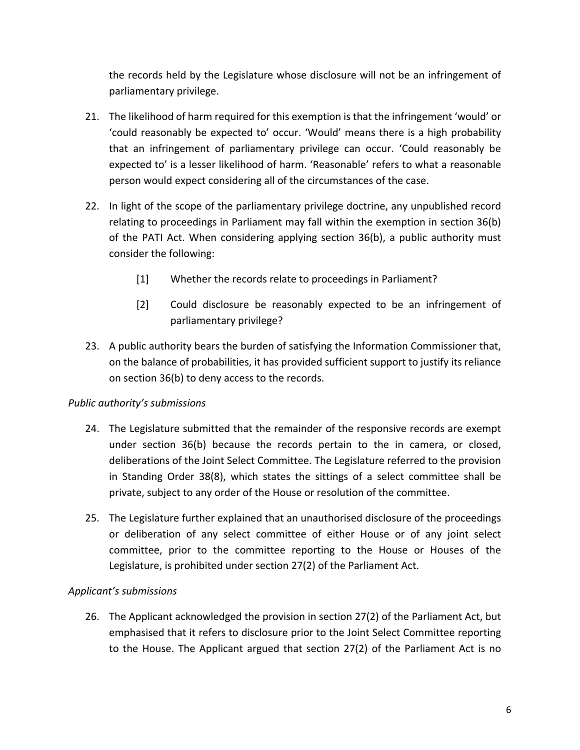the records held by the Legislature whose disclosure will not be an infringement of parliamentary privilege.

- 21. The likelihood of harm required for this exemption is that the infringement 'would' or 'could reasonably be expected to' occur. 'Would' means there is a high probability that an infringement of parliamentary privilege can occur. 'Could reasonably be expected to' is a lesser likelihood of harm. 'Reasonable' refers to what a reasonable person would expect considering all of the circumstances of the case.
- 22. In light of the scope of the parliamentary privilege doctrine, any unpublished record relating to proceedings in Parliament may fall within the exemption in section 36(b) of the PATI Act. When considering applying section 36(b), a public authority must consider the following:
	- [1] Whether the records relate to proceedings in Parliament?
	- [2] Could disclosure be reasonably expected to be an infringement of parliamentary privilege?
- 23. A public authority bears the burden of satisfying the Information Commissioner that, on the balance of probabilities, it has provided sufficient support to justify its reliance on section 36(b) to deny access to the records.

#### *Public authority's submissions*

- 24. The Legislature submitted that the remainder of the responsive records are exempt under section 36(b) because the records pertain to the in camera, or closed, deliberations of the Joint Select Committee. The Legislature referred to the provision in Standing Order 38(8), which states the sittings of a select committee shall be private, subject to any order of the House or resolution of the committee.
- 25. The Legislature further explained that an unauthorised disclosure of the proceedings or deliberation of any select committee of either House or of any joint select committee, prior to the committee reporting to the House or Houses of the Legislature, is prohibited under section 27(2) of the Parliament Act.

#### *Applicant's submissions*

26. The Applicant acknowledged the provision in section 27(2) of the Parliament Act, but emphasised that it refers to disclosure prior to the Joint Select Committee reporting to the House. The Applicant argued that section 27(2) of the Parliament Act is no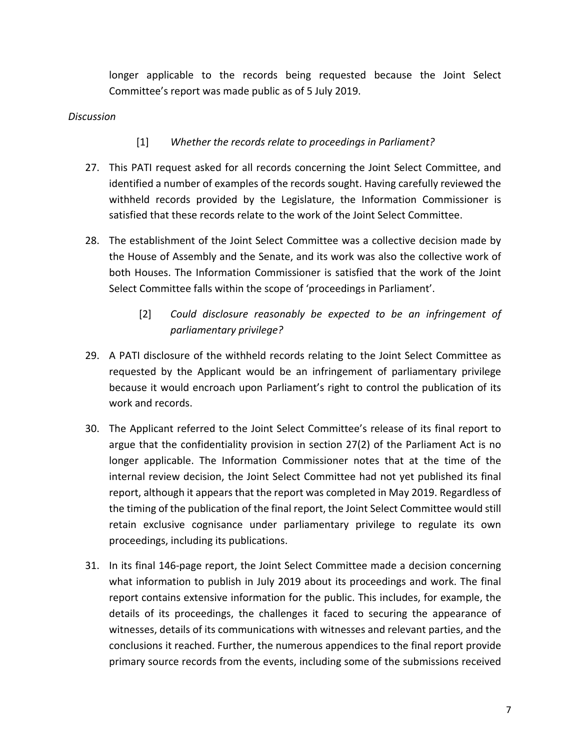longer applicable to the records being requested because the Joint Select Committee's report was made public as of 5 July 2019.

#### *Discussion*

### [1] *Whether the records relate to proceedings in Parliament?*

- 27. This PATI request asked for all records concerning the Joint Select Committee, and identified a number of examples of the records sought. Having carefully reviewed the withheld records provided by the Legislature, the Information Commissioner is satisfied that these records relate to the work of the Joint Select Committee.
- 28. The establishment of the Joint Select Committee was a collective decision made by the House of Assembly and the Senate, and its work was also the collective work of both Houses. The Information Commissioner is satisfied that the work of the Joint Select Committee falls within the scope of 'proceedings in Parliament'.
	- [2] *Could disclosure reasonably be expected to be an infringement of parliamentary privilege?*
- 29. A PATI disclosure of the withheld records relating to the Joint Select Committee as requested by the Applicant would be an infringement of parliamentary privilege because it would encroach upon Parliament's right to control the publication of its work and records.
- 30. The Applicant referred to the Joint Select Committee's release of its final report to argue that the confidentiality provision in section 27(2) of the Parliament Act is no longer applicable. The Information Commissioner notes that at the time of the internal review decision, the Joint Select Committee had not yet published its final report, although it appears that the report was completed in May 2019. Regardless of the timing of the publication of the final report, the Joint Select Committee would still retain exclusive cognisance under parliamentary privilege to regulate its own proceedings, including its publications.
- 31. In its final 146-page report, the Joint Select Committee made a decision concerning what information to publish in July 2019 about its proceedings and work. The final report contains extensive information for the public. This includes, for example, the details of its proceedings, the challenges it faced to securing the appearance of witnesses, details of its communications with witnesses and relevant parties, and the conclusions it reached. Further, the numerous appendices to the final report provide primary source records from the events, including some of the submissions received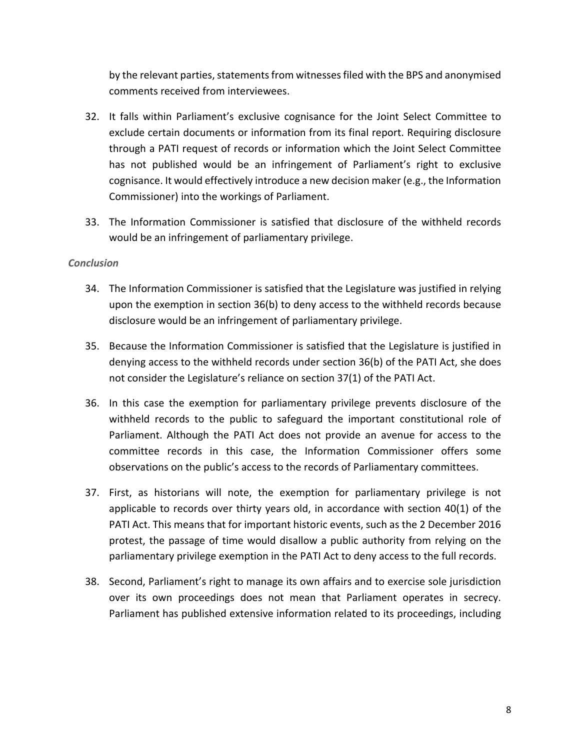by the relevant parties, statements from witnesses filed with the BPS and anonymised comments received from interviewees.

- 32. It falls within Parliament's exclusive cognisance for the Joint Select Committee to exclude certain documents or information from its final report. Requiring disclosure through a PATI request of records or information which the Joint Select Committee has not published would be an infringement of Parliament's right to exclusive cognisance. It would effectively introduce a new decision maker (e.g., the Information Commissioner) into the workings of Parliament.
- 33. The Information Commissioner is satisfied that disclosure of the withheld records would be an infringement of parliamentary privilege.

#### *Conclusion*

- 34. The Information Commissioner is satisfied that the Legislature was justified in relying upon the exemption in section 36(b) to deny access to the withheld records because disclosure would be an infringement of parliamentary privilege.
- 35. Because the Information Commissioner is satisfied that the Legislature is justified in denying access to the withheld records under section 36(b) of the PATI Act, she does not consider the Legislature's reliance on section 37(1) of the PATI Act.
- 36. In this case the exemption for parliamentary privilege prevents disclosure of the withheld records to the public to safeguard the important constitutional role of Parliament. Although the PATI Act does not provide an avenue for access to the committee records in this case, the Information Commissioner offers some observations on the public's access to the records of Parliamentary committees.
- 37. First, as historians will note, the exemption for parliamentary privilege is not applicable to records over thirty years old, in accordance with section 40(1) of the PATI Act. This means that for important historic events, such as the 2 December 2016 protest, the passage of time would disallow a public authority from relying on the parliamentary privilege exemption in the PATI Act to deny access to the full records.
- 38. Second, Parliament's right to manage its own affairs and to exercise sole jurisdiction over its own proceedings does not mean that Parliament operates in secrecy. Parliament has published extensive information related to its proceedings, including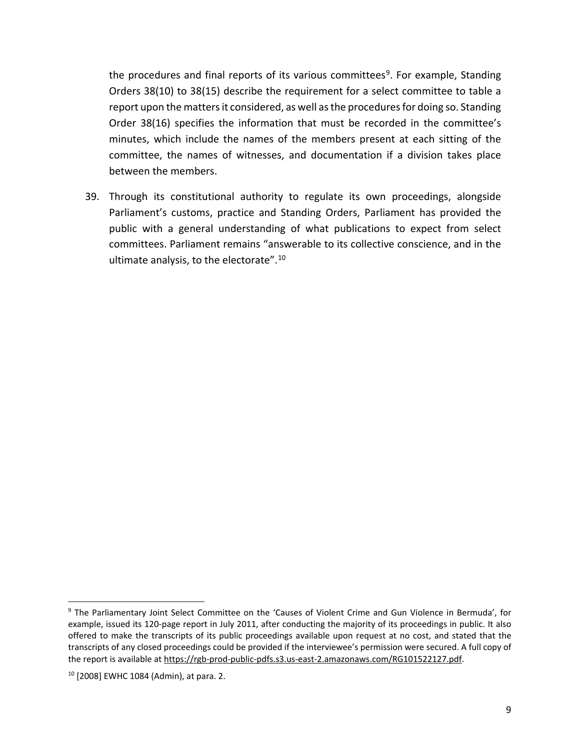the procedures and final reports of its various committees<sup>9</sup>. For example, Standing Orders 38(10) to 38(15) describe the requirement for a select committee to table a report upon the matters it considered, as well as the procedures for doing so. Standing Order 38(16) specifies the information that must be recorded in the committee's minutes, which include the names of the members present at each sitting of the committee, the names of witnesses, and documentation if a division takes place between the members.

39. Through its constitutional authority to regulate its own proceedings, alongside Parliament's customs, practice and Standing Orders, Parliament has provided the public with a general understanding of what publications to expect from select committees. Parliament remains "answerable to its collective conscience, and in the ultimate analysis, to the electorate".[10](#page-9-1)

<span id="page-9-0"></span> <sup>9</sup> The Parliamentary Joint Select Committee on the 'Causes of Violent Crime and Gun Violence in Bermuda', for example, issued its 120-page report in July 2011, after conducting the majority of its proceedings in public. It also offered to make the transcripts of its public proceedings available upon request at no cost, and stated that the transcripts of any closed proceedings could be provided if the interviewee's permission were secured. A full copy of the report is available at [https://rgb-prod-public-pdfs.s3.us-east-2.amazonaws.com/RG101522127.pdf.](https://rgb-prod-public-pdfs.s3.us-east-2.amazonaws.com/RG101522127.pdf)

<span id="page-9-1"></span><sup>10</sup> [2008] EWHC 1084 (Admin), at para. 2.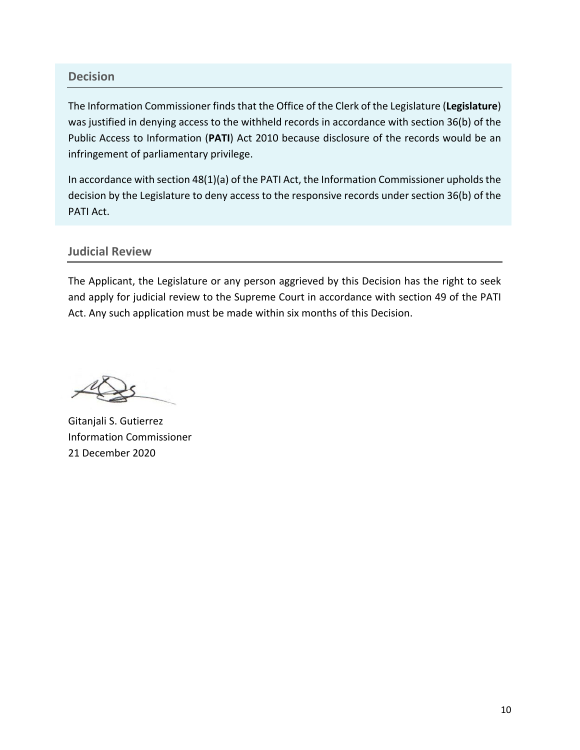#### **Decision**

The Information Commissioner finds that the Office of the Clerk of the Legislature (**Legislature**) was justified in denying access to the withheld records in accordance with section 36(b) of the Public Access to Information (**PATI**) Act 2010 because disclosure of the records would be an infringement of parliamentary privilege.

In accordance with section 48(1)(a) of the PATI Act, the Information Commissioner upholds the decision by the Legislature to deny access to the responsive records under section 36(b) of the PATI Act.

#### **Judicial Review**

The Applicant, the Legislature or any person aggrieved by this Decision has the right to seek and apply for judicial review to the Supreme Court in accordance with section 49 of the PATI Act. Any such application must be made within six months of this Decision.

Gitanjali S. Gutierrez Information Commissioner 21 December 2020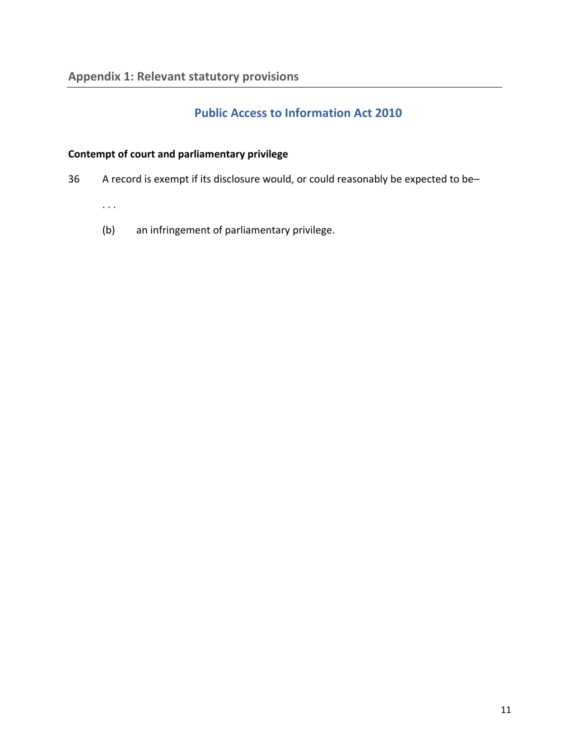# **Public Access to Information Act 2010**

# **Contempt of court and parliamentary privilege**

36 A record is exempt if its disclosure would, or could reasonably be expected to be–

. . .

(b) an infringement of parliamentary privilege.